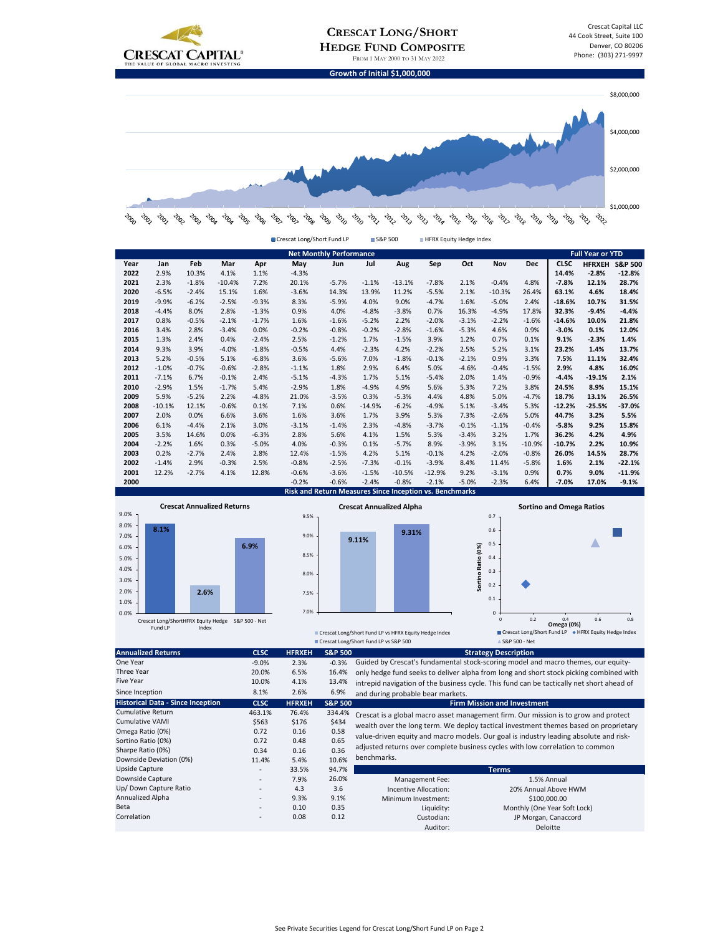



|      |                                                   |         |          |         | Crescat Long/Short Fund LP                              |         |          | S&P 500                         |          | HFRX Equity Hedge Index |                  |            |                                 |                         |                    |
|------|---------------------------------------------------|---------|----------|---------|---------------------------------------------------------|---------|----------|---------------------------------|----------|-------------------------|------------------|------------|---------------------------------|-------------------------|--------------------|
|      | <b>Net Monthly Performance</b>                    |         |          |         |                                                         |         |          |                                 |          |                         |                  |            |                                 | <b>Full Year or YTD</b> |                    |
| Year | Jan                                               | Feb     | Mar      | Apr     | May                                                     | Jun     | Jul      | Aug                             | Sep      | Oct                     | Nov              | <b>Dec</b> | <b>CLSC</b>                     | <b>HFRXEH</b>           | <b>S&amp;P 500</b> |
| 2022 | 2.9%                                              | 10.3%   | 4.1%     | 1.1%    | $-4.3%$                                                 |         |          |                                 |          |                         |                  |            | 14.4%                           | $-2.8%$                 | $-12.8%$           |
| 2021 | 2.3%                                              | $-1.8%$ | $-10.4%$ | 7.2%    | 20.1%                                                   | $-5.7%$ | $-1.1%$  | $-13.1%$                        | $-7.8%$  | 2.1%                    | $-0.4%$          | 4.8%       | $-7.8%$                         | 12.1%                   | 28.7%              |
| 2020 | $-6.5%$                                           | $-2.4%$ | 15.1%    | 1.6%    | $-3.6%$                                                 | 14.3%   | 13.9%    | 11.2%                           | $-5.5%$  | 2.1%                    | $-10.3%$         | 26.4%      | 63.1%                           | 4.6%                    | 18.4%              |
| 2019 | $-9.9%$                                           | $-6.2%$ | $-2.5%$  | $-9.3%$ | 8.3%                                                    | $-5.9%$ | 4.0%     | 9.0%                            | $-4.7%$  | 1.6%                    | $-5.0%$          | 2.4%       | $-18.6%$                        | 10.7%                   | 31.5%              |
| 2018 | $-4.4%$                                           | 8.0%    | 2.8%     | $-1.3%$ | 0.9%                                                    | 4.0%    | $-4.8%$  | $-3.8%$                         | 0.7%     | 16.3%                   | $-4.9%$          | 17.8%      | 32.3%                           | $-9.4%$                 | $-4.4%$            |
| 2017 | 0.8%                                              | $-0.5%$ | $-2.1%$  | $-1.7%$ | 1.6%                                                    | $-1.6%$ | $-5.2%$  | 2.2%                            | $-2.0%$  | $-3.1%$                 | $-2.2%$          | $-1.6%$    | $-14.6%$                        | 10.0%                   | 21.8%              |
| 2016 | 3.4%                                              | 2.8%    | $-3.4%$  | 0.0%    | $-0.2%$                                                 | $-0.8%$ | $-0.2%$  | $-2.8%$                         | $-1.6%$  | $-5.3%$                 | 4.6%             | 0.9%       | $-3.0%$                         | 0.1%                    | 12.0%              |
| 2015 | 1.3%                                              | 2.4%    | 0.4%     | $-2.4%$ | 2.5%                                                    | $-1.2%$ | 1.7%     | $-1.5%$                         | 3.9%     | 1.2%                    | 0.7%             | 0.1%       | 9.1%                            | $-2.3%$                 | 1.4%               |
| 2014 | 9.3%                                              | 3.9%    | $-4.0%$  | $-1.8%$ | $-0.5%$                                                 | 4.4%    | $-2.3%$  | 4.2%                            | $-2.2%$  | 2.5%                    | 5.2%             | 3.1%       | 23.2%                           | 1.4%                    | 13.7%              |
| 2013 | 5.2%                                              | $-0.5%$ | 5.1%     | $-6.8%$ | 3.6%                                                    | $-5.6%$ | 7.0%     | $-1.8%$                         | $-0.1%$  | $-2.1%$                 | 0.9%             | 3.3%       | 7.5%                            | 11.1%                   | 32.4%              |
| 2012 | $-1.0%$                                           | $-0.7%$ | $-0.6%$  | $-2.8%$ | $-1.1%$                                                 | 1.8%    | 2.9%     | 6.4%                            | 5.0%     | $-4.6%$                 | $-0.4%$          | $-1.5%$    | 2.9%                            | 4.8%                    | 16.0%              |
| 2011 | $-7.1%$                                           | 6.7%    | $-0.1%$  | 2.4%    | $-5.1%$                                                 | $-4.3%$ | 1.7%     | 5.1%                            | $-5.4%$  | 2.0%                    | 1.4%             | $-0.9%$    | $-4.4%$                         | $-19.1%$                | 2.1%               |
| 2010 | $-2.9%$                                           | 1.5%    | $-1.7%$  | 5.4%    | $-2.9%$                                                 | 1.8%    | $-4.9%$  | 4.9%                            | 5.6%     | 5.3%                    | 7.2%             | 3.8%       | 24.5%                           | 8.9%                    | 15.1%              |
| 2009 | 5.9%                                              | $-5.2%$ | 2.2%     | $-4.8%$ | 21.0%                                                   | $-3.5%$ | 0.3%     | $-5.3%$                         | 4.4%     | 4.8%                    | 5.0%             | $-4.7%$    | 18.7%                           | 13.1%                   | 26.5%              |
| 2008 | $-10.1%$                                          | 12.1%   | $-0.6%$  | 0.1%    | 7.1%                                                    | 0.6%    | $-14.9%$ | $-6.2%$                         | $-4.9%$  | 5.1%                    | $-3.4%$          | 5.3%       | $-12.2%$                        | $-25.5%$                | $-37.0%$           |
| 2007 | 2.0%                                              | 0.0%    | 6.6%     | 3.6%    | 1.6%                                                    | 3.6%    | 1.7%     | 3.9%                            | 5.3%     | 7.3%                    | $-2.6%$          | 5.0%       | 44.7%                           | 3.2%                    | 5.5%               |
| 2006 | 6.1%                                              | $-4.4%$ | 2.1%     | 3.0%    | $-3.1%$                                                 | $-1.4%$ | 2.3%     | $-4.8%$                         | $-3.7%$  | $-0.1%$                 | $-1.1%$          | $-0.4%$    | $-5.8%$                         | 9.2%                    | 15.8%              |
| 2005 | 3.5%                                              | 14.6%   | 0.0%     | $-6.3%$ | 2.8%                                                    | 5.6%    | 4.1%     | 1.5%                            | 5.3%     | $-3.4%$                 | 3.2%             | 1.7%       | 36.2%                           | 4.2%                    | 4.9%               |
| 2004 | $-2.2%$                                           | 1.6%    | 0.3%     | $-5.0%$ | 4.0%                                                    | $-0.3%$ | 0.1%     | $-5.7%$                         | 8.9%     | $-3.9%$                 | 3.1%             | $-10.9%$   | $-10.7%$                        | 2.2%                    | 10.9%              |
| 2003 | 0.2%                                              | $-2.7%$ | 2.4%     | 2.8%    | 12.4%                                                   | $-1.5%$ | 4.2%     | 5.1%                            | $-0.1%$  | 4.2%                    | $-2.0%$          | $-0.8%$    | 26.0%                           | 14.5%                   | 28.7%              |
| 2002 | $-1.4%$                                           | 2.9%    | $-0.3%$  | 2.5%    | $-0.8%$                                                 | $-2.5%$ | $-7.3%$  | $-0.1%$                         | $-3.9%$  | 8.4%                    | 11.4%            | $-5.8%$    | 1.6%                            | 2.1%                    | $-22.1%$           |
| 2001 | 12.2%                                             | $-2.7%$ | 4.1%     | 12.8%   | $-0.6%$                                                 | $-3.6%$ | $-1.5%$  | $-10.5%$                        | $-12.9%$ | 9.2%                    | $-3.1%$          | 0.9%       | 0.7%                            | 9.0%                    | $-11.9%$           |
| 2000 |                                                   |         |          |         | $-0.2%$                                                 | $-0.6%$ | $-2.4%$  | $-0.8%$                         | $-2.1%$  | $-5.0%$                 | $-2.3%$          | 6.4%       | $-7.0%$                         | 17.0%                   | $-9.1%$            |
|      |                                                   |         |          |         | Risk and Return Measures Since Inception vs. Benchmarks |         |          |                                 |          |                         |                  |            |                                 |                         |                    |
|      |                                                   |         |          |         |                                                         |         |          | <b>Crescat Annualized Alpha</b> |          |                         |                  |            | <b>Sortino and Omega Ratios</b> |                         |                    |
| 9.0% | <b>Crescat Annualized Returns</b>                 |         |          |         | 9.5%                                                    |         |          |                                 |          |                         | 0.7              |            |                                 |                         |                    |
| 8.0% | 8.1%                                              |         |          |         |                                                         |         |          |                                 |          |                         |                  |            |                                 |                         |                    |
| 7.0% |                                                   |         |          |         | 9.0%                                                    |         | 9.11%    | 9.31%                           |          |                         | 0.6              |            |                                 |                         |                    |
| 6.0% |                                                   |         |          | 6.9%    |                                                         |         |          |                                 |          |                         | 0.5              |            |                                 |                         |                    |
| 5.0% |                                                   |         |          |         | 8.5%                                                    |         |          |                                 |          |                         | 0.4              |            |                                 |                         |                    |
| 4.0% |                                                   |         |          |         |                                                         |         |          |                                 |          |                         | 0.3              |            |                                 |                         |                    |
| 3.0% |                                                   |         |          |         | 8.0%                                                    |         |          |                                 |          | Sortino Ratio (0%)      |                  |            |                                 |                         |                    |
| 2.0% |                                                   | 2.6%    |          |         | 7.5%                                                    |         |          |                                 |          |                         | 0.2              |            |                                 |                         |                    |
|      |                                                   |         |          |         |                                                         |         |          |                                 |          |                         | 0.1              |            |                                 |                         |                    |
| 1.0% |                                                   |         |          |         | 7.0%                                                    |         |          |                                 |          |                         |                  |            |                                 |                         |                    |
| 0.0% | Crescat Long/ShortHFRX Equity Hedge S&P 500 - Net |         |          |         |                                                         |         |          |                                 |          |                         | 0<br>$\mathbf 0$ | 0.2        | 0.4                             | 0.6                     | 0.8                |
|      | Fund LP                                           | Index   |          |         |                                                         |         |          |                                 |          |                         |                  |            | <b>Omega (0%)</b>               |                         |                    |

| ▲ S&P 500 - Net<br><b>Strategy Description</b>                                            |  |  |  |  |
|-------------------------------------------------------------------------------------------|--|--|--|--|
| Guided by Crescat's fundamental stock-scoring model and macro themes, our equity-         |  |  |  |  |
| only hedge fund seeks to deliver alpha from long and short stock picking combined with    |  |  |  |  |
| intrepid navigation of the business cycle. This fund can be tactically net short ahead of |  |  |  |  |
|                                                                                           |  |  |  |  |
|                                                                                           |  |  |  |  |
| Crescat is a global macro asset management firm. Our mission is to grow and protect       |  |  |  |  |
| wealth over the long term. We deploy tactical investment themes based on proprietary      |  |  |  |  |
|                                                                                           |  |  |  |  |
| value-driven equity and macro models. Our goal is industry leading absolute and risk-     |  |  |  |  |
|                                                                                           |  |  |  |  |
|                                                                                           |  |  |  |  |
|                                                                                           |  |  |  |  |
|                                                                                           |  |  |  |  |
| 20% Annual Above HWM                                                                      |  |  |  |  |
|                                                                                           |  |  |  |  |
| \$100,000.00<br>Monthly (One Year Soft Lock)                                              |  |  |  |  |
|                                                                                           |  |  |  |  |
|                                                                                           |  |  |  |  |
|                                                                                           |  |  |  |  |